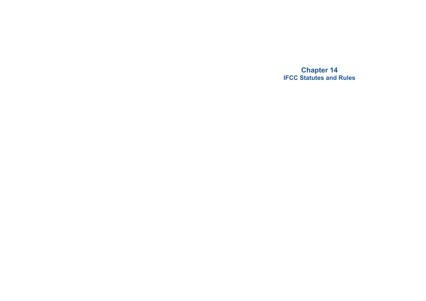**Chapter 14 IFCC Statutes and Rules**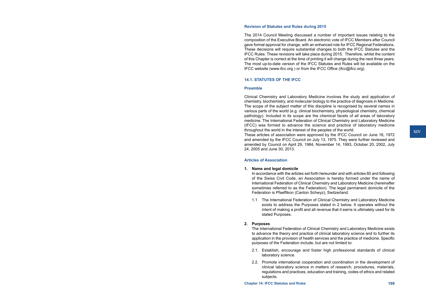#### **Revision of Statutes and Rules during 2015**

The 2014 Council Meeting discussed a number of important issues relating to the composition of the Executive Board. An electronic vote of IFCC Members after Council gave formal approval for change, with an enhanced role for IFCC Regional Federations. These decisions will require substantial changes to both the IFCC Statutes and the IFCC Rules. These revisions will take place during 2015. Therefore, whilst the content of this Chapter is correct at the time of printing it will change during the next three years. The most up-to-date version of the IFCC Statutes and Rules will be available on the IFCC website (www.ifcc.org ) or from the IFCC Office (ifcc@ifcc.org).

#### **14.1. STATUTES OF THE IFCC**

#### **Preamble**

Clinical Chemistry and Laboratory Medicine involves the study and application of chemistry, biochemistry, and molecular biology to the practice of diagnosis in Medicine. The scope of the subject matter of this discipline is recognised by several names in various parts of the world (e.g. clinical biochemistry, physiological chemistry, chemical pathology). Included in its scope are the chemical facets of all areas of laboratory medicine. The International Federation of Clinical Chemistry and Laboratory Medicine (IFCC) was formed to advance the science and practice of laboratory medicine throughout the world in the interest of the peoples of the world.

These articles of association were approved by the IFCC Council on June 18, 1972 and amended by the IFCC Council on July 13, 1975. They were further reviewed and amended by Council on April 29, 1984, November 14, 1993, October 20, 2002, July 24, 2005 and June 30, 2013.

### **Articles of Association**

#### **1. Name and legal domicile**

In accordance with the articles set forth hereunder and with articles 60 and following of the Swiss Civil Code, an Association is hereby formed under the name of International Federation of Clinical Chemistry and Laboratory Medicine (hereinafter sometimes referred to as the Federation). The legal permanent domicile of the Federation is Pfaeffikon (Canton Schwyz), Switzerland.

1.1 The International Federation of Clinical Chemistry and Laboratory Medicine exists to address the Purposes stated in 2 below. It operates without the intent of making a profit and all revenue that it earns is ultimately used for its stated Purposes.

#### **2. Purposes**

The International Federation of Clinical Chemistry and Laboratory Medicine exists to advance the theory and practice of clinical laboratory science and to further its application in the provision of health services and the practice of medicine. Specific purposes of the Federation include, but are not limited to:

- 2.1. Establish, encourage and foster high professional standards of clinical laboratory science.
- 2.2. Promote international cooperation and coordination in the development of clinical laboratory science in matters of research, procedures, materials, regulations and practices, education and training, codes of ethics and related subjects.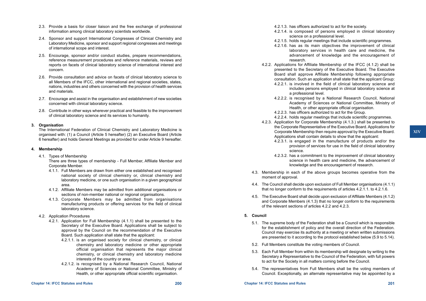- 2.3. Provide a basis for closer liaison and the free exchange of professional information among clinical laboratory scientists worldwide.
- 2.4. Sponsor and support International Congresses of Clinical Chemistry and Laboratory Medicine, sponsor and support regional congresses and meetings of international scope and interest.
- 2.5. Encourage, sponsor and/or conduct studies, prepare recommendations, reference measurement procedures and reference materials, reviews and reports on facets of clinical laboratory science of international interest and concern.
- 2.6. Provide consultation and advice on facets of clinical laboratory science to all Members of the IFCC, other international and regional societies, states, nations, industries and others concerned with the provision of health services and materials.
- 2.7. Encourage and assist in the organisation and establishment of new societies concerned with clinical laboratory science.
- 2.8. Contribute in other ways wherever practical and feasible to the improvement of clinical laboratory science and its services to humanity.

## **3. Organisation**

The International Federation of Clinical Chemistry and Laboratory Medicine is organised with: (1) a Council (Article 5 hereafter) (2) an Executive Board (Article 6 hereafter) and holds General Meetings as provided for under Article 9 hereafter.

## **4. Membership**

4.1. Types of Membership

There are three types of membership - Full Member, Affiliate Member and Corporate Member.

- 4.1.1. Full Members are drawn from either one established and recognised national society of clinical chemistry or, clinical chemistry and laboratory medicine, or one such organisation in a given geographical area.
- 4.1.2. Affiliate Members may be admitted from additional organisations or sections of non-member national or regional organisations.
- 4.1.3. Corporate Members may be admitted from organisations manufacturing products or offering services for the field of clinical laboratory science.
- 4.2. Application Procedures
	- 4.2.1. Application for Full Membership (4.1.1) shall be presented to the Secretary of the Executive Board. Applications shall be subject to approval by the Council on the recommendation of the Executive Board. Such application shall state that the applicant:
		- 4.2.1.1. is an organised society for clinical chemistry, or clinical chemistry and laboratory medicine or other appropriate official organisation that represents the major clinical chemistry, or clinical chemistry and laboratory medicine interests of the country or area.
		- 4.2.1.2. is recognised by a National Research Council, National Academy of Sciences or National Committee, Ministry of Health, or other appropriate official scientific organisation.
- 4.2.1.3. has officers authorized to act for the society.
- 4.2.1.4. is composed of persons employed in clinical laboratory science on a professional level.
- 4.2.1.5. holds regular meetings that include scientific programmes.
- 4.2.1.6. has as its main objectives the improvement of clinical laboratory services in health care and medicine, the advancement of knowledge and the encouragement of research.
- 4.2.2. Applications for Affiliate Membership of the IFCC (4.1.2) shall be presented to the Secretary of the Executive Board. The Executive Board shall approve Affiliate Membership following appropriate consultation. Such an application shall state that the applicant Group:
	- 4.2.2.1. is involved in the field of clinical laboratory science and includes persons employed in clinical laboratory science at a professional level.
	- 4.2.2.2. is recognised by a National Research Council, National Academy of Sciences or National Committee, Ministry of Health, or other appropriate official organisation.
	- 4.2.2.3. has officers authorized to act for the Group.
	- 4.2.2.4. holds regular meetings that include scientific programmes.
- 4.2.3. Application for Corporate Membership (4.1.3.) shall be presented to the Corporate Representative of the Executive Board. Applications for Corporate Membership then require approval by the Executive Board. Applications shall contain details to show that the applicant:
	- 4.2.3.1. is engaged in the manufacture of products and/or the provision of services for use in the field of clinical laboratory science.
	- 4.2.3.2. has a commitment to the improvement of clinical laboratory science in health care and medicine, the advancement of knowledge and the encouragement of research.
- 4.3. Membership in each of the above groups becomes operative from the moment of approval.
- 4.4. The Council shall decide upon exclusion of Full Member organisations (4.1.1) that no longer conform to the requirements of articles 4.2.1.1. to 4.2.1.6.
- 4.5. The Executive Board shall decide upon exclusion of Affiliate Members (4.1.2) and Corporate Members (4.1.3) that no longer conform to the requirements of the relevant sections of articles 4.2.2 and 4.2.3.

## **5. Council**

- 5.1. The supreme body of the Federation shall be a Council which is responsible for the establishment of policy and the overall direction of the Federation. Council may exercise its authority at a meeting or when written submissions are presented to it according to the protocol established below (5.9 to 5.14).
- 5.2. Full Members constitute the voting members of Council.
- 5.3. Each Full Member from within its membership will designate by writing to the Secretary a Representative to the Council of the Federation, with full powers to act for the Society in all matters coming before the Council.
- 5.4. The representatives from Full Members shall be the voting members of Council. Exceptionally, an alternate representative may be appointed by a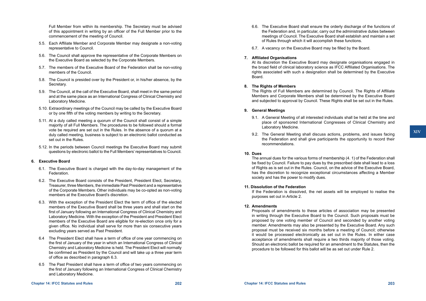Full Member from within its membership. The Secretary must be advised of this appointment in writing by an officer of the Full Member prior to the commencement of the meeting of Council.

- 5.5. Each Affiliate Member and Corporate Member may designate a non-voting representative to Council.
- 5.6. The Council shall approve the representative of the Corporate Members on the Executive Board as selected by the Corporate Members.
- 5.7. The members of the Executive Board of the Federation shall be non-voting members of the Council.
- 5.8. The Council is presided over by the President or, in his/her absence, by the Secretary.
- 5.9. The Council, at the call of the Executive Board, shall meet in the same period and at the same place as an International Congress of Clinical Chemistry and Laboratory Medicine.
- 5.10. Extraordinary meetings of the Council may be called by the Executive Board or by one fifth of the voting members by writing to the Secretary.
- 5.11. At a duly called meeting a quorum of the Council shall consist of a simple majority of all Full Members. The procedures to be followed should a formal vote be required are set out in the Rules. In the absence of a quorum at a duly called meeting, business is subject to an electronic ballot conducted as set out in the Rules.
- 5.12. In the periods between Council meetings the Executive Board may submit questions by electronic ballot to the Full Members' representatives to Council.

## **6. Executive Board**

- 6.1. The Executive Board is charged with the day-to-day management of the Federation.
- 6.2. The Executive Board consists of the President, President Elect, Secretary, Treasurer, three Members, the immediate Past President and a representative of the Corporate Members. Other individuals may be co-opted as non-voting members at the Executive Board's discretion.
- 6.3. With the exception of the President Elect the term of office of the elected members of the Executive Board shall be three years and shall start on the first of January following an International Congress of Clinical Chemistry and Laboratory Medicine. With the exception of the President and President Elect members of the Executive Board are eligible for re-election once only for a given office. No individual shall serve for more than six consecutive years excluding years served as Past President.
- 6.4 The President Elect shall have a term of office of one year commencing on the first of January of the year in which an International Congress of Clinical Chemistry and Laboratory Medicine is held. The President Elect will normally be confirmed as President by the Council and will take up a three year term of office as described in paragraph 6.3.
- 6.5 The Past President shall have a term of office of two years commencing on the first of January following an International Congress of Clinical Chemistry and Laboratory Medicine.
- 6.6. The Executive Board shall ensure the orderly discharge of the functions of the Federation and, in particular, carry out the administrative duties between meetings of Council. The Executive Board shall establish and maintain a set of Rules through which it will accomplish these functions.
- 6.7. A vacancy on the Executive Board may be filled by the Board.

### **7. Affiliated Organisations**

At its discretion the Executive Board may designate organisations engaged in the broad field of clinical laboratory science as IFCC Affiliated Organisations. The rights associated with such a designation shall be determined by the Executive Board.

#### **8. The Rights of Members**

The Rights of Full Members are determined by Council. The Rights of Affiliate Members and Corporate Members shall be determined by the Executive Board and subjected to approval by Council. These Rights shall be set out in the Rules.

### **9. General Meetings**

- 9.1. A General Meeting of all interested individuals shall be held at the time and place of sponsored International Congresses of Clinical Chemistry and Laboratory Medicine.
- 9.2. The General Meeting shall discuss actions, problems, and issues facing the Federation and shall give participants the opportunity to record their recommendations.

### **10. Dues**

The annual dues for the various forms of membership (4. 1) of the Federation shall be fixed by Council. Failure to pay dues by the prescribed date shall lead to a loss of Rights as is set out in the Rules. Council, on the advice of the Executive Board, has the discretion to recognize exceptional circumstances affecting a Member society and has the power to modify dues.

#### **11. Dissolution of the Federation**

If the Federation is dissolved, the net assets will be employed to realise the purposes set out in Article 2.

#### **12. Amendments**

Proposals of amendments to these articles of association may be presented in writing through the Executive Board to the Council. Such proposals must be proposed by one voting member of Council and seconded by another voting member. Amendments may also be presented by the Executive Board. Any such proposal must be received six months before a meeting of Council; otherwise it would be processed electronically as set out in the Rules. In either case acceptance of amendments shall require a two thirds majority of those voting. Should an electronic ballot be required for an amendment to the Statutes, then the procedure to be followed for this ballot will be as set out under Rule 2.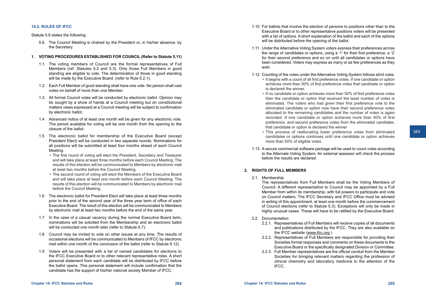# **14.2. RULES OF IFCC**

## Statute 5.8 states the following:

5.8. The Council Meeting is chaired by the President or, in his/her absence, by the Secretary.

# **1. VOTING PROCEDURES ESTABLISHED FOR COUNCIL (Refer to Statute 5.11)**

- 1.1. The voting members of Council are the formal representatives of Full Members (ref. Statutes 5.2 and 5.3). Only those Full Members in good standing are eligible to vote. The determination of those in good standing will be made by the Executive Board. (refer to Rule 6.2.1).
- 1.2. Each Full Member of good standing shall have one vote. No person shall cast votes on behalf of more than one Member.
- 1.3. All formal Council votes will be conducted by electronic ballot. Opinion may be sought by a show of hands at a Council meeting but on constitutional matters views expressed at a Council meeting will be subject to confirmation by electronic ballot.
- 1.4 Advanced notice of at least one month will be given for any electronic vote. The period available for voting will be one month from the opening to the closure of the ballot.
- 1.5 The electronic ballot for membership of the Executive Board (except President Elect) will be conducted in two separate rounds. Nominations for all positions will be submitted at least four months ahead of each Council Meeting.
	- The first round of voting will elect the President, Secretary and Treasurer and will take place at least three months before each Council Meeting. The results of this election will be communicated to Members by electronic mail at least two months before the Council Meeting.
	- The second round of voting will elect the Members of the Executive Board and will take place at least one month before each Council Meeting. The results of this election will be communicated to Members by electronic mail before the Council Meeting.
- 1.6 The electronic ballot for President Elect will take place at least three months prior to the end of the second year of the three year term of office of each Executive Board. The result of this election will be communicated to Members by electronic mail at least two months before the end of the same year.
- 1.7 In the case of a casual vacancy during the normal Executive Board term, nominations will be solicited from the Membership and an electronic ballot will be conducted one month later (refer to Statute 6.7).
- 1.8 Council may be invited to vote on other issues at any time. The results of occasional elections will be communicated to Members of IFCC by electronic mail within one month of the conclusion of the ballot (refer to Statute 5.12)
- 1.9 Voters will be presented with a list of named candidates for elections to the IFCC Executive Board or to other relevant representative roles. A short personal statement from each candidate will be distributed by IFCC before the ballot opens. This personal statement will include confirmation that the candidate has the support of his/her national society Member of IFCC.
- 1.10 For ballots that involve the election of persons to positions other than to the Executive Board or to other representative positions voters will be presented with a list of options. A short explanation of the ballot and each of the options will be distributed before the opening of the ballot.
- 1.11 Under the Alternative Voting System voters express their preferences across the range of candidates or options, using a '1' for their first preference, a '2' for their second preference and so on until all candidates or options have been considered. Voters may express as many or as few preferences as they wish.
- 1.12 Counting of the votes under the Alternative Voting System follows strict rules. • It begins with a count of all first preference votes. If one candidate or option achieves more than 50% of first preference votes that candidate or option is declared the winner.
	- If no candidate or option achieves more than 50% of first preference votes then the candidate or option that received the least number of votes is eliminated. The voters who had given their first preference vote to the eliminated candidate or option now have their second preference votes allocated to the remaining candidates and the number of votes is again recorded. If one candidate or option achieves more than 50% of first preference, and second preference votes from the eliminated candidate, that candidate or option is declared the winner
	- This process of reallocating lower preference votes from eliminated candidates or options continues until one candidate or option achieves more than 50% of eligible votes.
- 1.13 A secure commercial software package will be used to count votes according to the Alternate Voting System. An external assessor will check the process before the results are declared.

# **2. RIGHTS OF FULL MEMBERS**

# 2.1. Membership

The representatives from Full Members shall be the Voting Members of Council. A different representative to Council may be appointed by a Full Member from within its membership, with full powers to participate and vote on Council matters. The IFCC Secretary and IFCC Office must be advised in writing of this appointment, at least one month before the commencement of Council elections (refer to Statute 5.3). Exceptions will only be made in highly unusual cases. These will have to be ratified by the Executive Board.

- 2.2. Documentation
	- 2.2.1. Representatives of Full Members will receive copies of all documents and publications distributed by the IFCC. They are also available on the IFCC website (www.ifcc.org )
	- 2.2.2. Representatives of Full Members are responsible for providing their Societies formal responses and comments on these documents to the Executive Board or the specifically designated Division or Committee.
	- 2.2.3. Full Member representatives are the official conduit from the Member Societies for bringing relevant matters regarding the profession of clinical chemistry and laboratory medicine to the attention of the IFCC.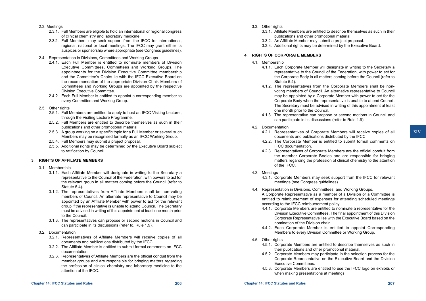- 2.3. Meetings
	- 2.3.1. Full Members are eligible to hold an international or regional congress of clinical chemistry and laboratory medicine.
	- 2.3.2. Full Members may seek support from the IFCC for international, regional, national or local meetings. The IFCC may grant either its auspices or sponsorship where appropriate (see Congress guidelines).
- 2.4. Representation in Divisions, Committees and Working Groups
	- 2.4.1. Each Full Member is entitled to nominate members of Division Executive Committees, Committees and Working Groups. The appointments for the Division Executive Committee membership and the Committee's Chairs lie with the IFCC Executive Board on the recommendation of the appropriate Division Chair. Members of Committees and Working Groups are appointed by the respective Division Executive Committee.
	- 2.4.2. Each Full Member is entitled to appoint a corresponding member to every Committee and Working Group.
- 2.5. Other rights
	- 2.5.1. Full Members are entitled to apply to host an IFCC Visiting Lecturer, through the Visiting Lecture Programme.
	- 2.5.2. Full Members are entitled to describe themselves as such in their publications and other promotional material.
	- 2.5.3. A group working on a specific topic for a Full Member or several such Members may be recognised formally as an IFCC Working Group.
	- 2.5.4. Full Members may submit a project proposal.
	- 2.5.5. Additional rights may be determined by the Executive Board subject to ratification by Council.

## **3. RIGHTS OF AFFILIATE MEMBERS**

- 3.1. Membership
	- 3.1.1. Each Affiliate Member will designate in writing to the Secretary a representative to the Council of the Federation, with powers to act for the relevant group in all matters coming before the Council (refer to Statute 5.4).
	- 3.1.2. The representatives from Affiliate Members shall be non-voting members of Council. An alternate representative to Council may be appointed by an Affiliate Member with power to act for the relevant group if the representative is unable to attend Council. The Secretary must be advised in writing of this appointment at least one month prior to the Council.
	- 3.1.3. The representatives can propose or second motions in Council and can participate in its discussions (refer to. Rule 1.9).
- 3.2. Documentation
	- 3.2.1. Representatives of Affiliate Members will receive copies of all documents and publications distributed by the IFCC.
	- 3.2.2. The Affiliate Member is entitled to submit formal comments on IFCC documentation.
	- 3.2.3. Representatives of Affiliate Members are the official conduit from the member groups and are responsible for bringing matters regarding the profession of clinical chemistry and laboratory medicine to the attention of the IFCC.
- 3.3. Other rights
	- 3.3.1. Affiliate Members are entitled to describe themselves as such in their publications and other promotional material.
	- 3.3.2. An Affiliate Member may submit a project proposal.
	- 3.3.3. Additional rights may be determined by the Executive Board.

## **4. RIGHTS OF CORPORATE MEMBERS**

- 4.1. Membership
	- 4.1.1. Each Corporate Member will designate in writing to the Secretary a representative to the Council of the Federation, with power to act for the Corporate Body in all matters coming before the Council (refer to Statute 5.4).
	- 4.1.2. The representatives from the Corporate Members shall be nonvoting members of Council. An alternative representative to Council may be appointed by a Corporate Member with power to act for the Corporate Body when the representative is unable to attend Council. The Secretary must be advised in writing of this appointment at least one month prior to the Council.
	- 4.1.3. The representative can propose or second motions in Council and can participate in its discussions (refer to Rule 1.9).
- 4.2. Documentation
	- 4.2.1. Representatives of Corporate Members will receive copies of all documents and publications distributed by the IFCC.
	- 4.2.2. The Corporate Member is entitled to submit formal comments on IFCC documentation.
	- 4.2.3. Representatives of Corporate Members are the official conduit from the member Corporate Bodies and are responsible for bringing matters regarding the profession of clinical chemistry to the attention of the IFCC.
- 4.3. Meetings
	- 4.3.1. Corporate Members may seek support from the IFCC for relevant meetings (see Congress guidelines).
- 4.4. Representation in Divisions, Committees, and Working Groups. A Corporate Representative as a member of a Division or a Committee is entitled to reimbursement of expenses for attending scheduled meetings according to the IFCC reimbursement policy.
	- 4.4.1. Corporate Members are entitled to nominate a representative for the Division Executive Committees. The final appointment of this Division Corporate Representative lies with the Executive Board based on the nomination of the Division chair.
	- 4.4.2. Each Corporate Member is entitled to appoint Corresponding Members to every Division Committee or Working Group.
- 4.5. Other rights
	- 4.5.1. Corporate Members are entitled to describe themselves as such in their publications and other promotional material.
	- 4.5.2. Corporate Members may participate in the selection process for the Corporate Representative on the Executive Board and the Division Executive Committees.
	- 4.5.3. Corporate Members are entitled to use the IFCC logo on exhibits or when making presentations at meetings.